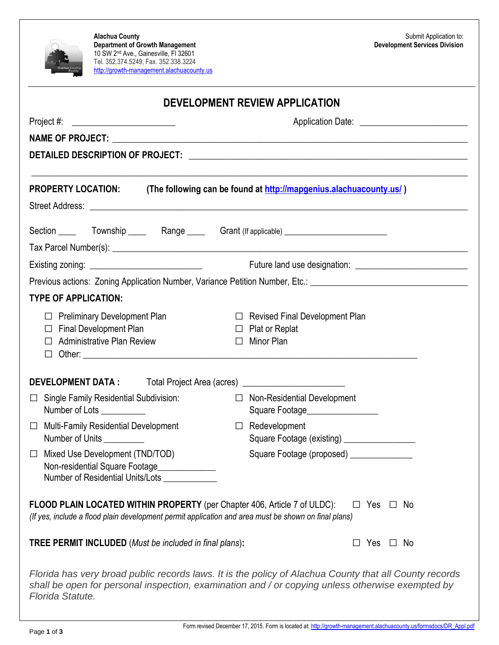| <b>Department of Growth Management</b><br>10 SW 2 <sup>nd</sup> Ave., Gainesville, FI 32601<br>Tel. 352.374.5249, Fax. 352.338.3224<br>Alachua County<br>Florida<br>http://growth-management.alachuacounty.us | <b>Development Services Division</b>                                                                           |  |  |  |
|---------------------------------------------------------------------------------------------------------------------------------------------------------------------------------------------------------------|----------------------------------------------------------------------------------------------------------------|--|--|--|
| <b>DEVELOPMENT REVIEW APPLICATION</b>                                                                                                                                                                         |                                                                                                                |  |  |  |
| $Project #: ____________$                                                                                                                                                                                     |                                                                                                                |  |  |  |
|                                                                                                                                                                                                               |                                                                                                                |  |  |  |
|                                                                                                                                                                                                               |                                                                                                                |  |  |  |
| <b>PROPERTY LOCATION:</b>                                                                                                                                                                                     | (The following can be found at http://mapgenius.alachuacounty.us/)                                             |  |  |  |
| Section ______  Township ______  Range ______  Grant (If applicable) ______________________________                                                                                                           |                                                                                                                |  |  |  |
|                                                                                                                                                                                                               |                                                                                                                |  |  |  |
|                                                                                                                                                                                                               | Previous actions: Zoning Application Number, Variance Petition Number, Etc.: 100000000000000000000000000000000 |  |  |  |
| <b>TYPE OF APPLICATION:</b>                                                                                                                                                                                   |                                                                                                                |  |  |  |
| $\Box$ Preliminary Development Plan<br>$\Box$ Final Development Plan<br><b>Administrative Plan Review</b><br>$\perp$<br>□                                                                                     | $\Box$ Revised Final Development Plan<br>$\Box$ Plat or Replat<br>$\Box$ Minor Plan                            |  |  |  |
| DEVELOPMENT DATA : Total Project Area (acres) __________________________________                                                                                                                              |                                                                                                                |  |  |  |
| □ Single Family Residential Subdivision:<br>Number of Lots __________                                                                                                                                         | □ Non-Residential Development<br>Square Footage__________________                                              |  |  |  |
| <b>Multi-Family Residential Development</b><br>$\Box$<br>Number of Units                                                                                                                                      | $\Box$ Redevelopment<br>Square Footage (existing) ________________                                             |  |  |  |
| Mixed Use Development (TND/TOD)<br>$\Box$<br>Non-residential Square Footage_____________                                                                                                                      | Square Footage (proposed) _______________                                                                      |  |  |  |
| <b>FLOOD PLAIN LOCATED WITHIN PROPERTY</b> (per Chapter 406, Article 7 of ULDC):<br>(If yes, include a flood plain development permit application and area must be shown on final plans)                      | $\Box$ Yes $\Box$ No                                                                                           |  |  |  |
| <b>TREE PERMIT INCLUDED</b> (Must be included in final plans):                                                                                                                                                | $\Box$ Yes $\Box$ No                                                                                           |  |  |  |
|                                                                                                                                                                                                               | Florida has very broad public records laws. It is the policy of Alachua County that all County records         |  |  |  |

**Alachua County**

 $\sqrt{2}$ 

*shall be open for personal inspection, examination and / or copying unless otherwise exempted by Florida Statute.*

Submit Application to: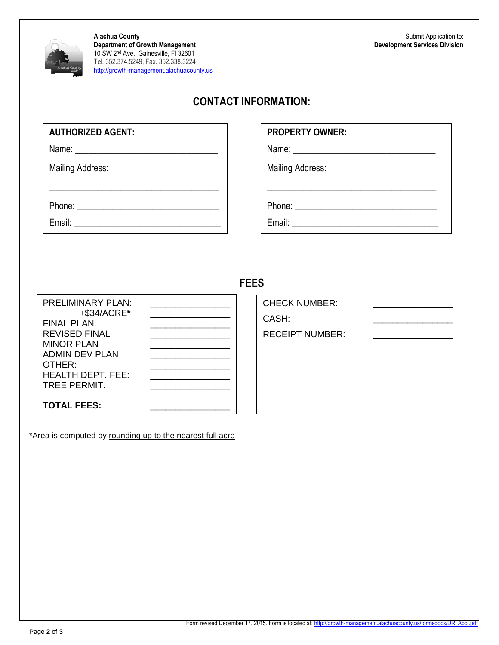

**Alachua County Department of Growth Management** 10 SW 2nd Ave., Gainesville, Fl 32601 Tel. 352.374.5249, Fax. 352.338.3224 [http://growth-management.alachuacounty.us](http://growth-management.alachua.fl.us/)

## **CONTACT INFORMATION:**

Name: \_\_\_\_\_\_\_\_\_\_\_\_\_\_\_\_\_\_\_\_\_\_\_\_\_\_\_\_\_\_\_\_

Mailing Address: \_\_\_\_\_\_\_\_\_\_\_\_\_\_\_\_\_\_\_\_\_\_\_\_

Phone: \_\_\_\_\_\_\_\_\_\_\_\_\_\_\_\_\_\_\_\_\_\_\_\_\_\_\_\_\_\_\_\_

Email: \_\_\_\_\_\_\_\_\_\_\_\_\_\_\_\_\_\_\_\_\_\_\_\_\_\_\_\_\_\_\_\_\_

## **PROPERTY OWNER:**

Name: \_\_\_\_\_\_\_\_\_\_\_\_\_\_\_\_\_\_\_\_\_\_\_\_\_\_\_\_\_\_\_\_

Mailing Address: \_\_\_\_\_\_\_\_\_\_\_\_\_\_\_\_\_\_\_\_\_\_\_\_

Phone: \_\_\_\_\_\_\_\_\_\_\_\_\_\_\_\_\_\_\_\_\_\_\_\_\_\_\_\_\_\_\_\_

Email: \_\_\_\_\_\_\_\_\_\_\_\_\_\_\_\_\_\_\_\_\_\_\_\_\_\_\_\_\_\_\_\_\_

## **FEES**

| <b>PRELIMINARY PLAN:</b><br>+\$34/ACRE*<br>$FINAI$ PI AN $\cdot$<br><b>REVISED FINAL</b><br><b>MINOR PLAN</b><br><b>ADMIN DEV PLAN</b><br>OTHER:<br><b>HEALTH DEPT. FEE:</b><br><b>TREE PERMIT:</b> |  |
|-----------------------------------------------------------------------------------------------------------------------------------------------------------------------------------------------------|--|
| <b>TOTAL FEES:</b>                                                                                                                                                                                  |  |

\*Area is computed by rounding up to the nearest full acre

| <b>CHECK NUMBER:</b>   |  |
|------------------------|--|
| CASH:                  |  |
| <b>RECEIPT NUMBER:</b> |  |
|                        |  |
|                        |  |
|                        |  |
|                        |  |
|                        |  |

\_\_\_\_\_\_\_\_\_\_\_\_\_\_\_\_\_\_\_\_\_\_\_\_\_\_\_\_\_\_\_\_\_\_\_\_\_\_